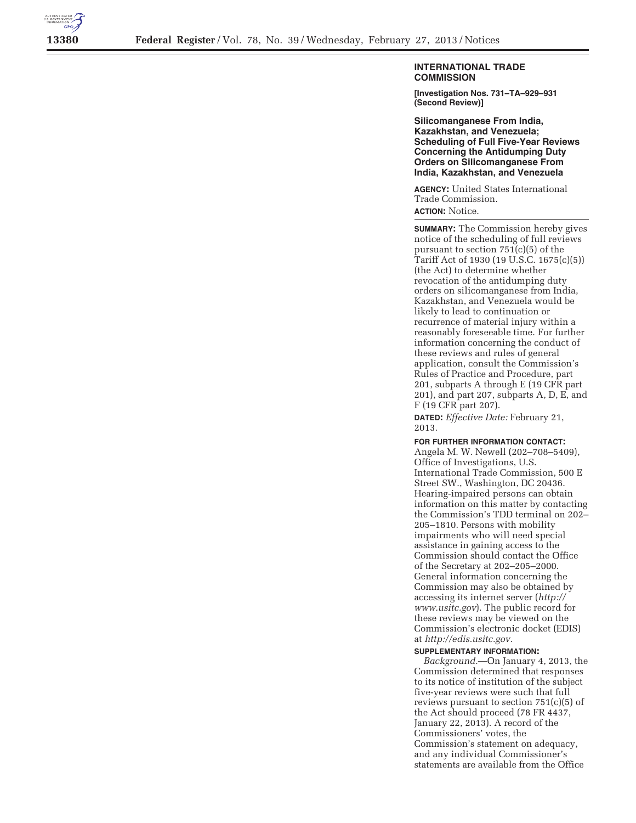

## **INTERNATIONAL TRADE COMMISSION**

**[Investigation Nos. 731–TA–929–931 (Second Review)]** 

**Silicomanganese From India, Kazakhstan, and Venezuela; Scheduling of Full Five-Year Reviews Concerning the Antidumping Duty Orders on Silicomanganese From India, Kazakhstan, and Venezuela** 

**AGENCY:** United States International Trade Commission.

**ACTION:** Notice.

**SUMMARY:** The Commission hereby gives notice of the scheduling of full reviews pursuant to section 751(c)(5) of the Tariff Act of 1930 (19 U.S.C. 1675(c)(5)) (the Act) to determine whether revocation of the antidumping duty orders on silicomanganese from India, Kazakhstan, and Venezuela would be likely to lead to continuation or recurrence of material injury within a reasonably foreseeable time. For further information concerning the conduct of these reviews and rules of general application, consult the Commission's Rules of Practice and Procedure, part 201, subparts A through E (19 CFR part 201), and part 207, subparts A, D, E, and F (19 CFR part 207).

**DATED:** *Effective Date:* February 21, 2013.

## **FOR FURTHER INFORMATION CONTACT:**

Angela M. W. Newell (202–708–5409), Office of Investigations, U.S. International Trade Commission, 500 E Street SW., Washington, DC 20436. Hearing-impaired persons can obtain information on this matter by contacting the Commission's TDD terminal on 202– 205–1810. Persons with mobility impairments who will need special assistance in gaining access to the Commission should contact the Office of the Secretary at 202–205–2000. General information concerning the Commission may also be obtained by accessing its internet server (*http:// www.usitc.gov*). The public record for these reviews may be viewed on the Commission's electronic docket (EDIS) at *http://edis.usitc.gov.* 

## **SUPPLEMENTARY INFORMATION:**

*Background.*—On January 4, 2013, the Commission determined that responses to its notice of institution of the subject five-year reviews were such that full reviews pursuant to section 751(c)(5) of the Act should proceed (78 FR 4437, January 22, 2013). A record of the Commissioners' votes, the Commission's statement on adequacy, and any individual Commissioner's statements are available from the Office